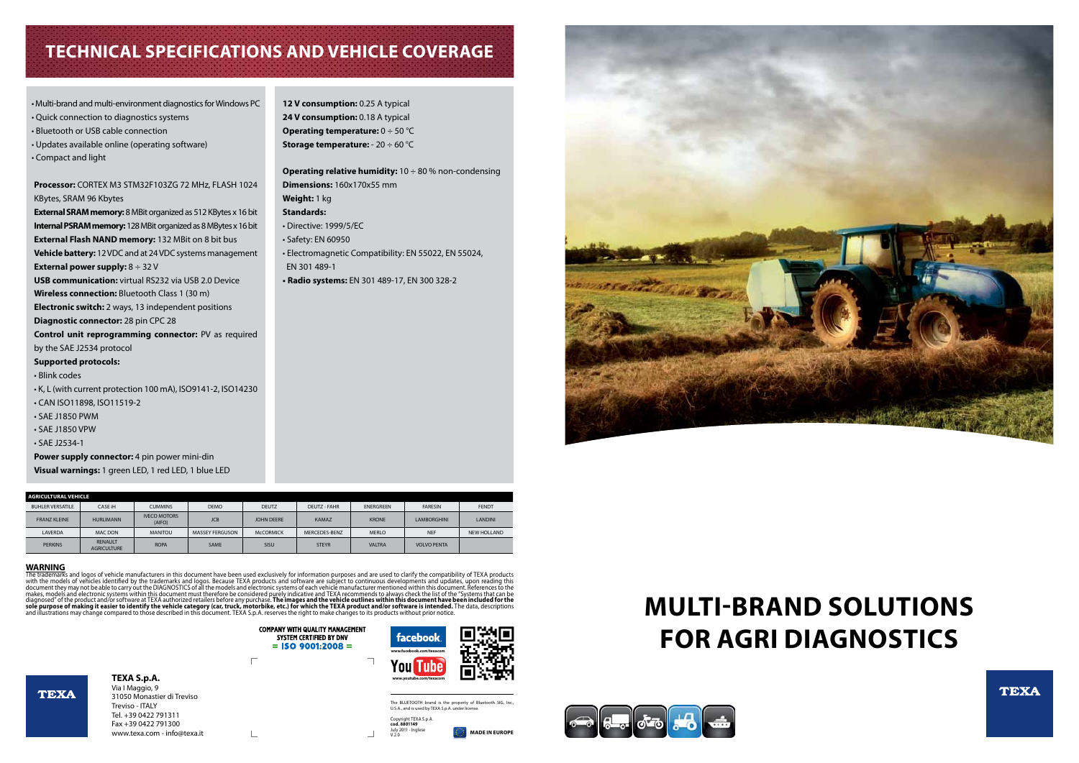# **MULTI-BRAND SOLUTIONS FOR AGRI DIAGNOSTICS**



# **Technical specifications and Vehicle coverage**

| AGRICULTURAL VEHICLE    |                                      |                               |                        |                   |                     |                  |                    |                |
|-------------------------|--------------------------------------|-------------------------------|------------------------|-------------------|---------------------|------------------|--------------------|----------------|
| <b>BUHLER VERSATILE</b> | CASE iH                              | <b>CUMMINS</b>                | <b>DEMO</b>            | <b>DEUTZ</b>      | <b>DEUTZ - FAHR</b> | <b>ENERGREEN</b> | <b>FARESIN</b>     | <b>FENDT</b>   |
| <b>FRANZ KLEINE</b>     | <b>HURLIMANN</b>                     | <b>IVECO MOTORS</b><br>(AIFO) | <b>JCB</b>             | <b>JOHN DEERE</b> | <b>KAMAZ</b>        | <b>KRONE</b>     | <b>LAMBORGHINI</b> | <b>LANDINI</b> |
| <b>LAVERDA</b>          | <b>MAC DON</b>                       | <b>MANITOU</b>                | <b>MASSEY FERGUSON</b> | <b>MCCORMICK</b>  | MERCEDES-BENZ       | <b>MERLO</b>     | <b>NEF</b>         | NEW HOLLAND    |
| <b>PERKINS</b>          | <b>RENAULT</b><br><b>AGRICULTURE</b> | <b>ROPA</b>                   | <b>SAME</b>            | SISU              | <b>STEYR</b>        | <b>VALTRA</b>    | <b>VOLVO PENTA</b> |                |

WARNING<br>The trademarks and logos of vehicle manufacturers in this document have been used exclusively for information purposes and are used to clarify the compatibility of TEXA products<br>with the models of vehicles identifi makes, models and electronic systems within this document must therefore be considered purely indicative and TEXA recommends to always check the list of the "Systems that can be<br>diagnosed" of the product and/or software at

 $\frac{1}{2}$ 

**COMPANY WITH QUALITY MANAGEMENT**<br>SYSTEM CERTIFIED BY DNV

 $=$  ISO 9001:2008  $=$ 

**MADE IN EUROPE**



### **TEXA S.p.A.** Via I Maggio, 9 31050 Monastier di Treviso Treviso - ITALY Tel. +39 0422 791311 Fax +39 0422 791300 www.texa.com - info@texa.it

**TEXA** 

### The BLUETOOTH brand is the property of Bluetooth SIG, Inc., U.S.A., and is used by TEXA S.p.A. under license.

Copyright TEXA S.p.A. **cod. 8801149** July 2011 - Inglese V.2.0





| . Multi-brand and multi-environment diagnostics for Windows PC        | 12 V consumption: 0.25 A typical                                  |
|-----------------------------------------------------------------------|-------------------------------------------------------------------|
| • Quick connection to diagnostics systems                             | 24 V consumption: 0.18 A typical                                  |
| • Bluetooth or USB cable connection                                   | <b>Operating temperature:</b> $0 \div 50$ °C                      |
| • Updates available online (operating software)                       | <b>Storage temperature:</b> - $20 \div 60$ °C                     |
| • Compact and light                                                   |                                                                   |
|                                                                       | <b>Operating relative humidity:</b> $10 \div 80$ % non-condensing |
| Processor: CORTEX M3 STM32F103ZG 72 MHz, FLASH 1024                   | Dimensions: 160x170x55 mm                                         |
| KBytes, SRAM 96 Kbytes                                                | Weight: 1 kg                                                      |
| External SRAM memory: 8 MBit organized as 512 KBytes x 16 bit         | <b>Standards:</b>                                                 |
| <b>Internal PSRAM memory:</b> 128 MBit organized as 8 MBytes x 16 bit | • Directive: 1999/5/EC                                            |
| External Flash NAND memory: 132 MBit on 8 bit bus                     | • Safety: EN 60950                                                |
| Vehicle battery: 12 VDC and at 24 VDC systems management              | • Electromagnetic Compatibility: EN 55022, EN 55024,              |
| <b>External power supply:</b> $8 \div 32$ V                           | EN 301 489-1                                                      |
| <b>USB communication:</b> virtual RS232 via USB 2.0 Device            | • Radio systems: EN 301 489-17, EN 300 328-2                      |
| Wireless connection: Bluetooth Class 1 (30 m)                         |                                                                   |
| <b>Electronic switch:</b> 2 ways, 13 independent positions            |                                                                   |
| Diagnostic connector: 28 pin CPC 28                                   |                                                                   |
| Control unit reprogramming connector: PV as required                  |                                                                   |
| by the SAE J2534 protocol                                             |                                                                   |
| <b>Supported protocols:</b>                                           |                                                                   |
| • Blink codes                                                         |                                                                   |
| • K, L (with current protection 100 mA), ISO9141-2, ISO14230          |                                                                   |
| • CAN ISO11898, ISO11519-2                                            |                                                                   |
| • SAE J1850 PWM                                                       |                                                                   |
| $\cdot$ SAE J1850 VPW                                                 |                                                                   |
| • SAE J2534-1                                                         |                                                                   |
| Power supply connector: 4 pin power mini-din                          |                                                                   |
| Visual warnings: 1 green LED, 1 red LED, 1 blue LED                   |                                                                   |
|                                                                       |                                                                   |